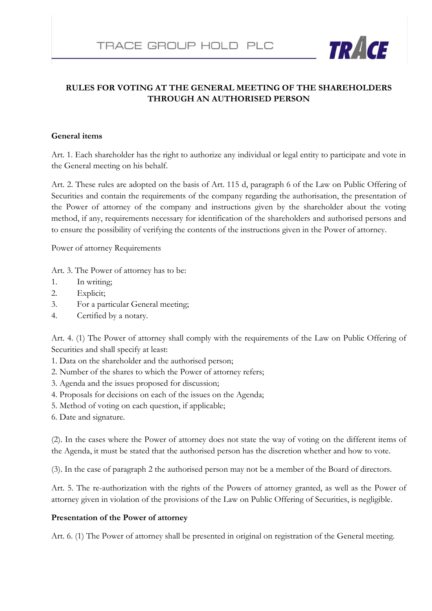

# **RULES FOR VOTING AT THE GENERAL MEETING OF THE SHAREHOLDERS THROUGH AN AUTHORISED PERSON**

## **General items**

Art. 1. Each shareholder has the right to authorize any individual or legal entity to participate and vote in the General meeting on his behalf.

Art. 2. These rules are adopted on the basis of Art. 115 d, paragraph 6 of the Law on Public Offering of Securities and contain the requirements of the company regarding the authorisation, the presentation of the Power of attorney of the company and instructions given by the shareholder about the voting method, if any, requirements necessary for identification of the shareholders and authorised persons and to ensure the possibility of verifying the contents of the instructions given in the Power of attorney.

Power of attorney Requirements

Art. 3. The Power of attorney has to be:

- 1. In writing;
- 2. Explicit;
- 3. For a particular General meeting;
- 4. Certified by a notary.

Art. 4. (1) The Power of attorney shall comply with the requirements of the Law on Public Offering of Securities and shall specify at least:

- 1. Data on the shareholder and the authorised person;
- 2. Number of the shares to which the Power of attorney refers;
- 3. Agenda and the issues proposed for discussion;
- 4. Proposals for decisions on each of the issues on the Agenda;
- 5. Method of voting on each question, if applicable;
- 6. Date and signature.

(2). In the cases where the Power of attorney does not state the way of voting on the different items of the Agenda, it must be stated that the authorised person has the discretion whether and how to vote.

(3). In the case of paragraph 2 the authorised person may not be a member of the Board of directors.

Art. 5. The re-authorization with the rights of the Powers of attorney granted, as well as the Power of attorney given in violation of the provisions of the Law on Public Offering of Securities, is negligible.

#### **Presentation of the Power of attorney**

Art. 6. (1) The Power of attorney shall be presented in original on registration of the General meeting.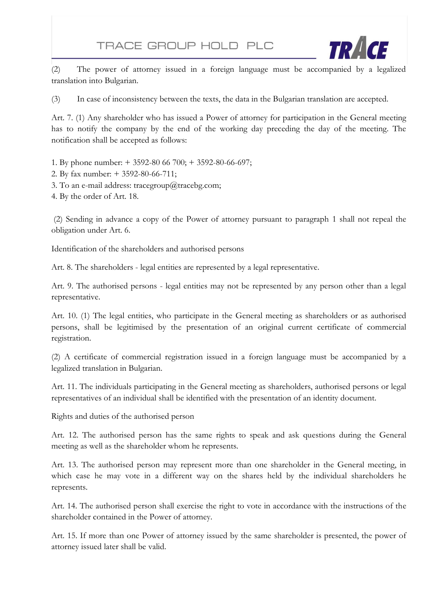

(2) The power of attorney issued in a foreign language must be accompanied by a legalized translation into Bulgarian.

(3) In case of inconsistency between the texts, the data in the Bulgarian translation are accepted.

Art. 7. (1) Any shareholder who has issued a Power of attorney for participation in the General meeting has to notify the company by the end of the working day preceding the day of the meeting. The notification shall be accepted as follows:

1. By phone number: + 3592-80 66 700; + 3592-80-66-697;

2. By fax number: + 3592-80-66-711;

3. To an e-mail address: tracegroup@tracebg.com;

4. By the order of Art. 18.

(2) Sending in advance a copy of the Power of attorney pursuant to paragraph 1 shall not repeal the obligation under Art. 6.

Identification of the shareholders and authorised persons

Art. 8. The shareholders - legal entities are represented by a legal representative.

Art. 9. The authorised persons - legal entities may not be represented by any person other than a legal representative.

Art. 10. (1) The legal entities, who participate in the General meeting as shareholders or as authorised persons, shall be legitimised by the presentation of an original current certificate of commercial registration.

(2) A certificate of commercial registration issued in a foreign language must be accompanied by a legalized translation in Bulgarian.

Art. 11. The individuals participating in the General meeting as shareholders, authorised persons or legal representatives of an individual shall be identified with the presentation of an identity document.

Rights and duties of the authorised person

Art. 12. The authorised person has the same rights to speak and ask questions during the General meeting as well as the shareholder whom he represents.

Art. 13. The authorised person may represent more than one shareholder in the General meeting, in which case he may vote in a different way on the shares held by the individual shareholders he represents.

Art. 14. The authorised person shall exercise the right to vote in accordance with the instructions of the shareholder contained in the Power of attorney.

Art. 15. If more than one Power of attorney issued by the same shareholder is presented, the power of attorney issued later shall be valid.